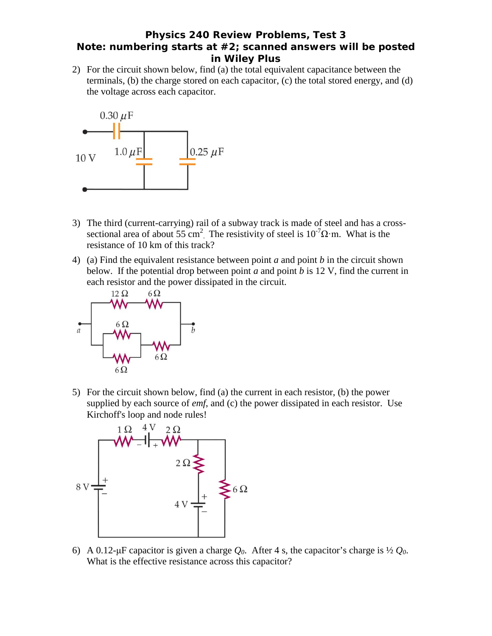## **Physics 240 Review Problems, Test 3 Note: numbering starts at #2; scanned answers will be posted in Wiley Plus**

2) For the circuit shown below, find (a) the total equivalent capacitance between the terminals, (b) the charge stored on each capacitor, (c) the total stored energy, and (d) the voltage across each capacitor.



- 3) The third (current-carrying) rail of a subway track is made of steel and has a crosssectional area of about 55 cm<sup>2</sup>. The resistivity of steel is  $10^{-7} \Omega \cdot m$ . What is the resistance of 10 km of this track?
- 4) (a) Find the equivalent resistance between point *a* and point *b* in the circuit shown below. If the potential drop between point *a* and point *b* is 12 V, find the current in each resistor and the power dissipated in the circuit.



5) For the circuit shown below, find (a) the current in each resistor, (b) the power supplied by each source of *emf*, and (c) the power dissipated in each resistor. Use Kirchoff's loop and node rules!



6) A 0.12-μF capacitor is given a charge *Q0*. After 4 s, the capacitor's charge is ½ *Q0*. What is the effective resistance across this capacitor?